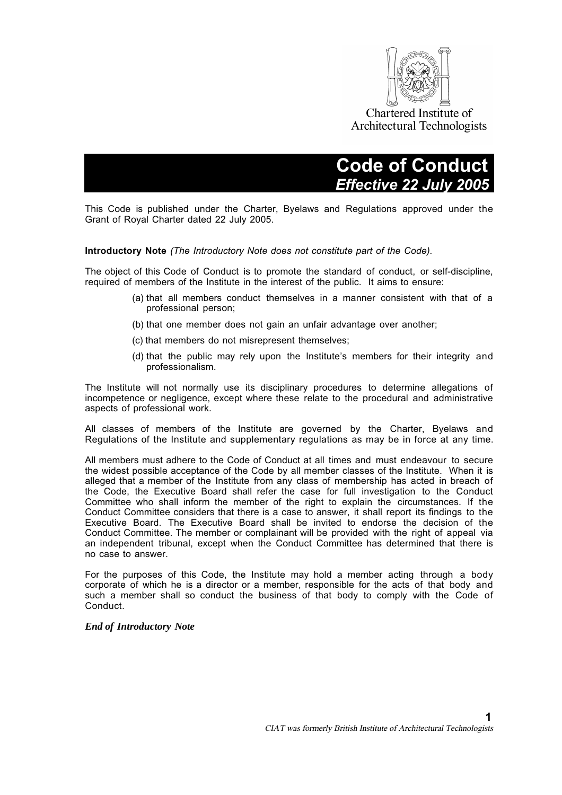

# **Code of Conduct.** *Effective 22 July 2005.*

This Code is published under the Charter, Byelaws and Regulations approved under the Grant of Royal Charter dated 22 July 2005.

#### **Introductory Note** *(The Introductory Note does not constitute part of the Code).*

The object of this Code of Conduct is to promote the standard of conduct, or self-discipline, required of members of the Institute in the interest of the public. It aims to ensure:

- (a) that all members conduct themselves in a manner consistent with that of a professional person;
- (b) that one member does not gain an unfair advantage over another;
- (c) that members do not misrepresent themselves;
- (d) that the public may rely upon the Institute's members for their integrity and professionalism.

The Institute will not normally use its disciplinary procedures to determine allegations of incompetence or negligence, except where these relate to the procedural and administrative aspects of professional work.

All classes of members of the Institute are governed by the Charter, Byelaws and Regulations of the Institute and supplementary regulations as may be in force at any time.

All members must adhere to the Code of Conduct at all times and must endeavour to secure the widest possible acceptance of the Code by all member classes of the Institute. When it is alleged that a member of the Institute from any class of membership has acted in breach of the Code, the Executive Board shall refer the case for full investigation to the Conduct Committee who shall inform the member of the right to explain the circumstances. If the Conduct Committee considers that there is a case to answer, it shall report its findings to the Executive Board. The Executive Board shall be invited to endorse the decision of the Conduct Committee. The member or complainant will be provided with the right of appeal via an independent tribunal, except when the Conduct Committee has determined that there is no case to answer.

For the purposes of this Code, the Institute may hold a member acting through a body corporate of which he is a director or a member, responsible for the acts of that body and such a member shall so conduct the business of that body to comply with the Code of Conduct.

#### *End of Introductory Note*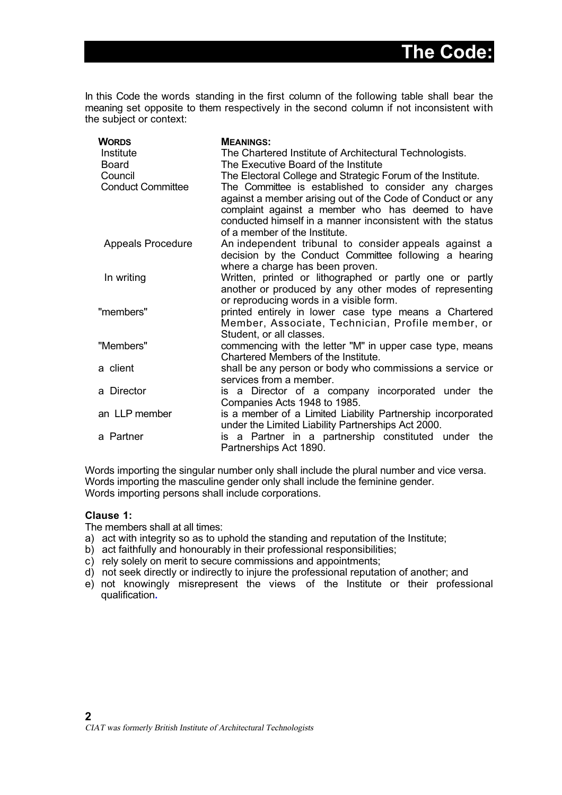In this Code the words standing in the first column of the following table shall bear the meaning set opposite to them respectively in the second column if not inconsistent with the subject or context:

| <b>WORDS</b>             | <b>MEANINGS:</b>                                                                                                                                                                                                                                                       |
|--------------------------|------------------------------------------------------------------------------------------------------------------------------------------------------------------------------------------------------------------------------------------------------------------------|
| Institute                | The Chartered Institute of Architectural Technologists.                                                                                                                                                                                                                |
| Board                    | The Executive Board of the Institute                                                                                                                                                                                                                                   |
| Council                  | The Electoral College and Strategic Forum of the Institute.                                                                                                                                                                                                            |
| <b>Conduct Committee</b> | The Committee is established to consider any charges<br>against a member arising out of the Code of Conduct or any<br>complaint against a member who has deemed to have<br>conducted himself in a manner inconsistent with the status<br>of a member of the Institute. |
| <b>Appeals Procedure</b> | An independent tribunal to consider appeals against a<br>decision by the Conduct Committee following a hearing<br>where a charge has been proven.                                                                                                                      |
| In writing               | Written, printed or lithographed or partly one or partly<br>another or produced by any other modes of representing<br>or reproducing words in a visible form.                                                                                                          |
| "members"                | printed entirely in lower case type means a Chartered<br>Member, Associate, Technician, Profile member, or<br>Student, or all classes.                                                                                                                                 |
| "Members"                | commencing with the letter "M" in upper case type, means<br>Chartered Members of the Institute.                                                                                                                                                                        |
| a client                 | shall be any person or body who commissions a service or<br>services from a member.                                                                                                                                                                                    |
| a Director               | is a Director of a company incorporated under the<br>Companies Acts 1948 to 1985.                                                                                                                                                                                      |
| an LLP member            | is a member of a Limited Liability Partnership incorporated<br>under the Limited Liability Partnerships Act 2000.                                                                                                                                                      |
| a Partner                | is a Partner in a partnership constituted under the<br>Partnerships Act 1890.                                                                                                                                                                                          |

Words importing the singular number only shall include the plural number and vice versa. Words importing the masculine gender only shall include the feminine gender. Words importing persons shall include corporations.

## **Clause 1:**

The members shall at all times:

- a) act with integrity so as to uphold the standing and reputation of the Institute;
- b) act faithfully and honourably in their professional responsibilities;
- c) rely solely on merit to secure commissions and appointments;
- d) not seek directly or indirectly to injure the professional reputation of another; and
- e) not knowingly misrepresent the views of the Institute or their professional qualification**.**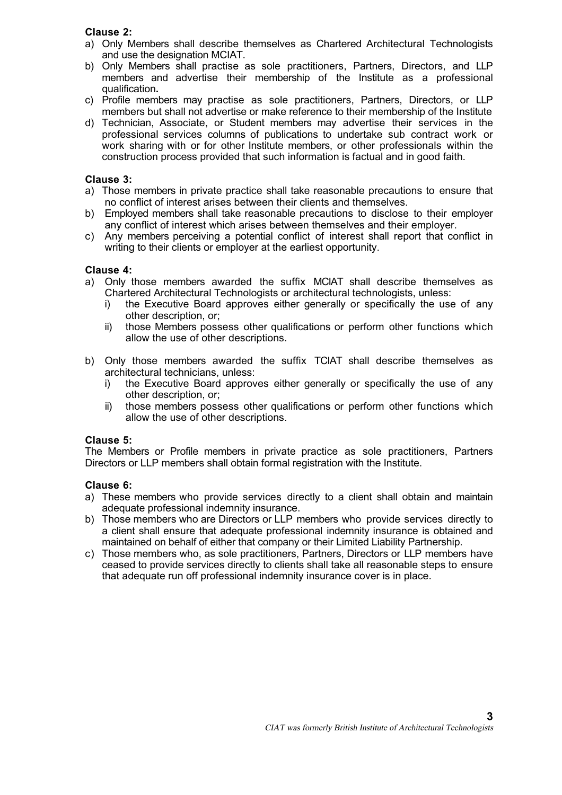## **Clause 2:**

- a) Only Members shall describe themselves as Chartered Architectural Technologists and use the designation MCIAT.
- b) Only Members shall practise as sole practitioners, Partners, Directors, and LLP members and advertise their membership of the Institute as a professional qualification**.**
- c) Profile members may practise as sole practitioners, Partners, Directors, or LLP members but shall not advertise or make reference to their membership of the Institute
- d) Technician, Associate, or Student members may advertise their services in the professional services columns of publications to undertake sub contract work or work sharing with or for other Institute members, or other professionals within the construction process provided that such information is factual and in good faith.

## **Clause 3:**

- a) Those members in private practice shall take reasonable precautions to ensure that no conflict of interest arises between their clients and themselves.
- b) Employed members shall take reasonable precautions to disclose to their employer any conflict of interest which arises between themselves and their employer.
- c) Any members perceiving a potential conflict of interest shall report that conflict in writing to their clients or employer at the earliest opportunity.

## **Clause 4:**

- a) Only those members awarded the suffix MCIAT shall describe themselves as Chartered Architectural Technologists or architectural technologists, unless:
	- i) the Executive Board approves either generally or specifically the use of any other description, or;
	- ii) those Members possess other qualifications or perform other functions which allow the use of other descriptions.
- b) Only those members awarded the suffix TCIAT shall describe themselves as architectural technicians, unless:
	- i) the Executive Board approves either generally or specifically the use of any other description, or;
	- ii) those members possess other qualifications or perform other functions which allow the use of other descriptions.

## **Clause 5:**

The Members or Profile members in private practice as sole practitioners, Partners Directors or LLP members shall obtain formal registration with the Institute.

## **Clause 6:**

- a) These members who provide services directly to a client shall obtain and maintain adequate professional indemnity insurance.
- b) Those members who are Directors or LLP members who provide services directly to a client shall ensure that adequate professional indemnity insurance is obtained and maintained on behalf of either that company or their Limited Liability Partnership.
- c) Those members who, as sole practitioners, Partners, Directors or LLP members have ceased to provide services directly to clients shall take all reasonable steps to ensure that adequate run off professional indemnity insurance cover is in place.